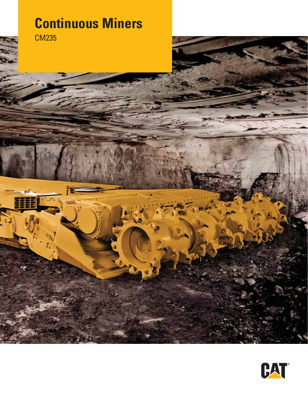# **Continuous Miners**

ñ.

CM235

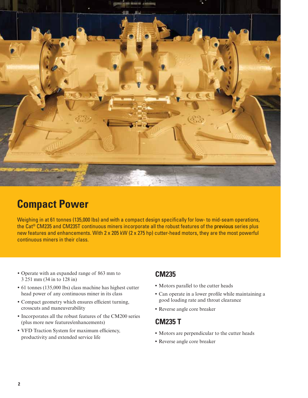

## **Compact Power**

Weighing in at 61 tonnes (135,000 lbs) and with a compact design specifically for low- to mid-seam operations, the Cat® CM235 and CM235T continuous miners incorporate all the robust features of the previous series plus new features and enhancements. With 2 x 205 kW (2 x 275 hp) cutter-head motors, they are the most powerful continuous miners in their class.

- **•** Operate with an expanded range of 863 mm to 3 251 mm (34 in to 128 in)
- **•** 61 tonnes (135,000 lbs) class machine has highest cutter head power of any continuous miner in its class
- **•** Compact geometry which ensures efficient turning, crosscuts and maneuverability
- **•** Incorporates all the robust features of the CM200 series (plus more new features/enhancements)
- **•** VFD Traction System for maximum efficiency, productivity and extended service life

### **CM235**

- **•** Motors parallel to the cutter heads
- **•** Can operate in a lower profile while maintaining a good loading rate and throat clearance
- **•** Reverse angle core breaker

#### **CM235 T**

- **•** Motors are perpendicular to the cutter heads
- **•** Reverse angle core breaker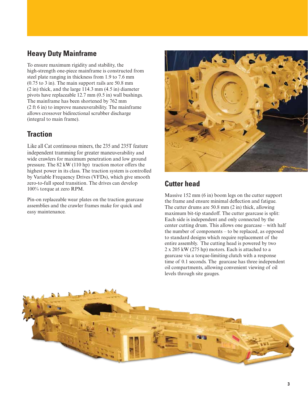### **Heavy Duty Mainframe**

To ensure maximum rigidity and stability, the high-strength one-piece mainframe is constructed from steel plate ranging in thickness from 1.9 to 7.6 mm (0.75 to 3 in). The main support rails are 50.8 mm (2 in) thick, and the large 114.3 mm (4.5 in) diameter pivots have replaceable 12.7 mm (0.5 in) wall bushings. The mainframe has been shortened by 762 mm (2 ft 6 in) to improve maneuverability. The mainframe allows crossover bidirectional scrubber discharge (integral to main frame).

### **Traction**

Like all Cat continuous miners, the 235 and 235T feature independent tramming for greater maneuverability and wide crawlers for maximum penetration and low ground pressure. The 82 kW (110 hp) traction motor offers the highest power in its class. The traction system is controlled by Variable Frequency Drives (VFDs), which give smooth zero-to-full speed transition. The drives can develop 100% torque at zero RPM.

Pin-on replaceable wear plates on the traction gearcase assemblies and the crawler frames make for quick and easy maintenance.



## **Cutter head**

Massive 152 mm (6 in) boom legs on the cutter support the frame and ensure minimal deflection and fatigue. The cutter drums are 50.8 mm (2 in) thick, allowing maximum bit-tip standoff. The cutter gearcase is split: Each side is independent and only connected by the center cutting drum. This allows one gearcase – with half the number of components – to be replaced, as opposed to standard designs which require replacement of the entire assembly. The cutting head is powered by two 2 x 205 kW (275 hp) motors. Each is attached to a gearcase via a torque-limiting clutch with a response time of 0.1 seconds. The gearcase has three independent oil compartments, allowing convenient viewing of oil levels through site gauges.

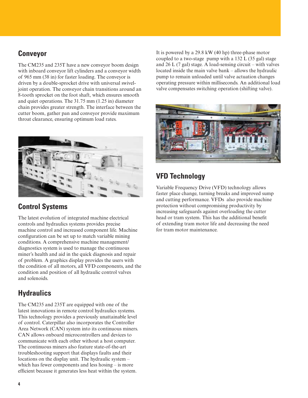#### **Conveyor**

The CM235 and 235T have a new conveyor boom design with inboard conveyor lift cylinders and a conveyor width of 965 mm (38 in) for faster loading. The conveyor is driven by a double-sprocket drive with universal swiveljoint operation. The conveyor chain transitions around an 8-tooth sprocket on the foot shaft, which ensures smooth and quiet operations. The 31.75 mm (1.25 in) diameter chain provides greater strength. The interface between the cutter boom, gather pan and conveyor provide maximum throat clearance, ensuring optimum load rates.



## **Control Systems**

The latest evolution of integrated machine electrical controls and hydraulics systems provides precise machine control and increased component life. Machine configuration can be set up to match variable mining conditions. A comprehensive machine management/ diagnostics system is used to manage the continuous miner's health and aid in the quick diagnosis and repair of problem. A graphics display provides the users with the condition of all motors, all VFD components, and the condition and position of all hydraulic control valves and solenoids.

## **Hydraulics**

The CM235 and 235T are equipped with one of the latest innovations in remote control hydraulics systems. This technology provides a previously unattainable level of control. Caterpillar also incorporates the Controller Area Network (CAN) system into its continuous miners. CAN allows onboard microcontrollers and devices to communicate with each other without a host computer. The continuous miners also feature state-of-the-art troubleshooting support that displays faults and their locations on the display unit. The hydraulic system – which has fewer components and less hosing – is more efficient because it generates less heat within the system.

It is powered by a 29.8 kW (40 hp) three-phase motor coupled to a two-stage pump with a 132 L (35 gal) stage and 26 L (7 gal) stage. A load-sensing circuit – with valves located inside the main valve bank – allows the hydraulic pump to remain unloaded until valve actuation changes operating pressure within milliseconds. An additional load valve compensates switching operation (shifting valve).



## **VFD Technology**

Variable Frequency Drive (VFD) technology allows faster place change, turning breaks and improved sump and cutting performance. VFDs also provide machine protection without compromising productivity by increasing safeguards against overloading the cutter head or tram system. This has the additional benefit of extending tram motor life and decreasing the need for tram motor maintenance.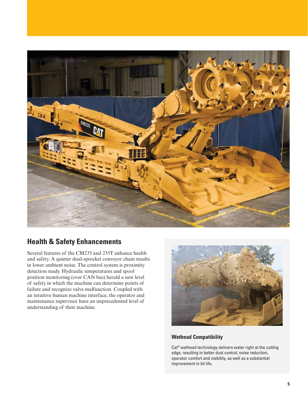

## **Health & Safety Enhancements**

Several features of the CM235 and 235T enhance health and safety. A quieter dual-sprocket conveyor chain results in lower ambient noise. The control system is proximity detection ready. Hydraulic temperatures and spool position monitoring (over CAN bus) herald a new level of safety in which the machine can determine points of failure and recognize valve malfunction. Coupled with an intuitive human machine interface, the operator and maintenance supervisor have an unprecedented level of understanding of their machine.



#### **Wethead Compatibility**

Cat® wethead technology delivers water right at the cutting edge, resulting in better dust control, noise reduction, operator comfort and visibility, as well as a substantial improvement in bit life.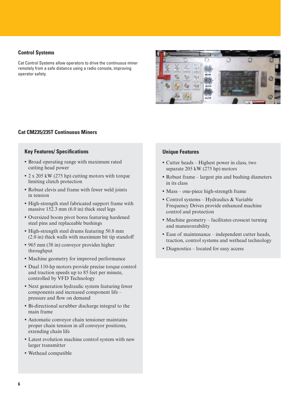#### **Control Systems**

Cat Control Systems allow operators to drive the continuous miner remotely from a safe distance using a radio console, improving operator safety.



#### **Cat CM235/235T Continuous Miners**

#### **Key Features/ Specifications**

- **•** Broad operating range with maximum rated cutting head power
- **•** 2 x 205 kW (275 hp) cutting motors with torque limiting clutch protection
- **•** Robust clevis and frame with fewer weld joints in tension
- **•** High-strength steel fabricated support frame with massive 152.3 mm (6.0 in) thick steel legs
- **•** Oversized boom pivot bores featuring hardened steel pins and replaceable bushings
- **•** High-strength steel drums featuring 50.8 mm (2.0 in) thick walls with maximum bit tip standoff
- **•** 965 mm (38 in) conveyor provides higher throughput
- **•** Machine geometry for improved performance
- **•** Dual 110-hp motors provide precise torque control and traction speeds up to 85 feet per minute, controlled by VFD Technology
- **•** Next generation hydraulic system featuring fewer components and increased component life – pressure and flow on demand
- **•** Bi-directional scrubber discharge integral to the main frame
- **•** Automatic conveyor chain tensioner maintains proper chain tension in all conveyor positions, extending chain life
- **•** Latest evolution machine control system with new larger transmitter
- **•** Wethead compatible

#### **Unique Features**

- **•** Cutter heads Highest power in class, two separate 205 kW (275 hp) motors
- **•** Robust frame largest pin and bushing diameters in its class
- **•** Mass one-piece high-strength frame
- **•** Control systems Hydraulics & Variable Frequency Drives provide enhanced machine control and protection
- Machine geometry facilitates crosscut turning and maneuverability
- **•** Ease of maintenance independent cutter heads, traction, control systems and wethead technology
- **•** Diagnostics located for easy access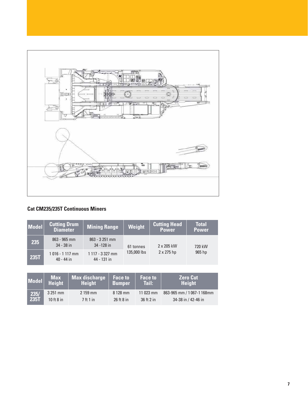

#### **Cat CM235/235T Continuous Miners**

| Model | <b>Cutting Drum</b><br><b>Diameter</b>                            | Mining Range                   | Weight      | <b>Cutting Head</b><br><b>Power</b> | <b>Total</b><br><b>Power</b> |
|-------|-------------------------------------------------------------------|--------------------------------|-------------|-------------------------------------|------------------------------|
| 235   | $863 - 965$ mm<br>$34 - 38$ in                                    | $863 - 3251$ mm<br>34 - 128 in | 61 tonnes   | 2 x 205 kW                          | 720 kW                       |
| 235T  | $1117 - 3327$ mm<br>1016 - 1117 mm<br>$40 - 44$ in<br>44 - 131 in |                                | 135,000 lbs | $2 \times 275$ hp                   | 965 hp                       |

| Model <sup> </sup> | <b>Max</b><br><b>Height</b> | Max discharge<br><b>Height</b> | <b>Face to</b><br><b>Bumper</b> | <b>Face to</b><br><b>Tail:</b> | <b>Zero Cut</b><br><b>Height</b> |
|--------------------|-----------------------------|--------------------------------|---------------------------------|--------------------------------|----------------------------------|
| 235/               | 3 251 mm                    | $2159$ mm                      | 8 128 mm                        | $11023$ mm                     | 863-965 mm / 1067-1168mm         |
| 235T               | 10 ft $8$ in                | 7 ft 1 in                      | $26$ ft 8 in                    | $36$ ft $2$ in                 | 34-38 in / 42-46 in              |